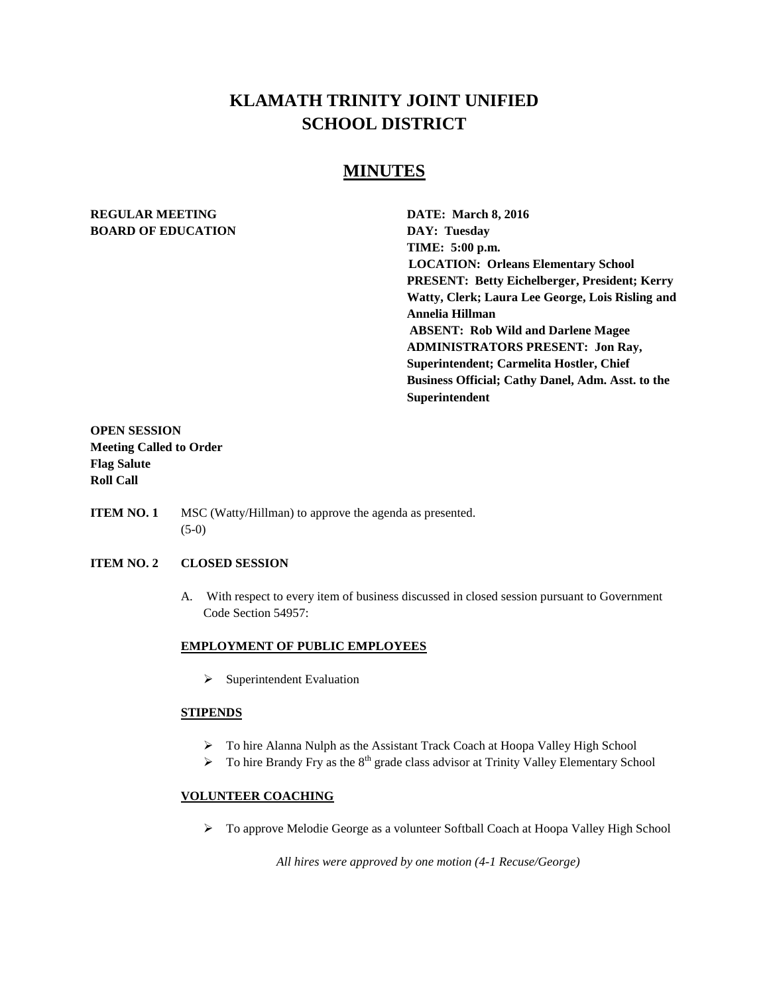# **KLAMATH TRINITY JOINT UNIFIED SCHOOL DISTRICT**

## **MINUTES**

### **REGULAR MEETING DATE: March 8, 2016 BOARD OF EDUCATION DAY: Tuesday**

**TIME: 5:00 p.m. LOCATION: Orleans Elementary School PRESENT: Betty Eichelberger, President; Kerry Watty, Clerk; Laura Lee George, Lois Risling and Annelia Hillman ABSENT: Rob Wild and Darlene Magee ADMINISTRATORS PRESENT: Jon Ray, Superintendent; Carmelita Hostler, Chief Business Official; Cathy Danel, Adm. Asst. to the Superintendent**

### **OPEN SESSION Meeting Called to Order Flag Salute Roll Call**

**ITEM NO. 1** MSC (Watty/Hillman) to approve the agenda as presented. (5-0)

### **ITEM NO. 2 CLOSED SESSION**

A. With respect to every item of business discussed in closed session pursuant to Government Code Section 54957:

#### **EMPLOYMENT OF PUBLIC EMPLOYEES**

 $\triangleright$  Superintendent Evaluation

#### **STIPENDS**

- > To hire Alanna Nulph as the Assistant Track Coach at Hoopa Valley High School
- $\triangleright$  To hire Brandy Fry as the 8<sup>th</sup> grade class advisor at Trinity Valley Elementary School

### **VOLUNTEER COACHING**

> To approve Melodie George as a volunteer Softball Coach at Hoopa Valley High School

 *All hires were approved by one motion (4-1 Recuse/George)*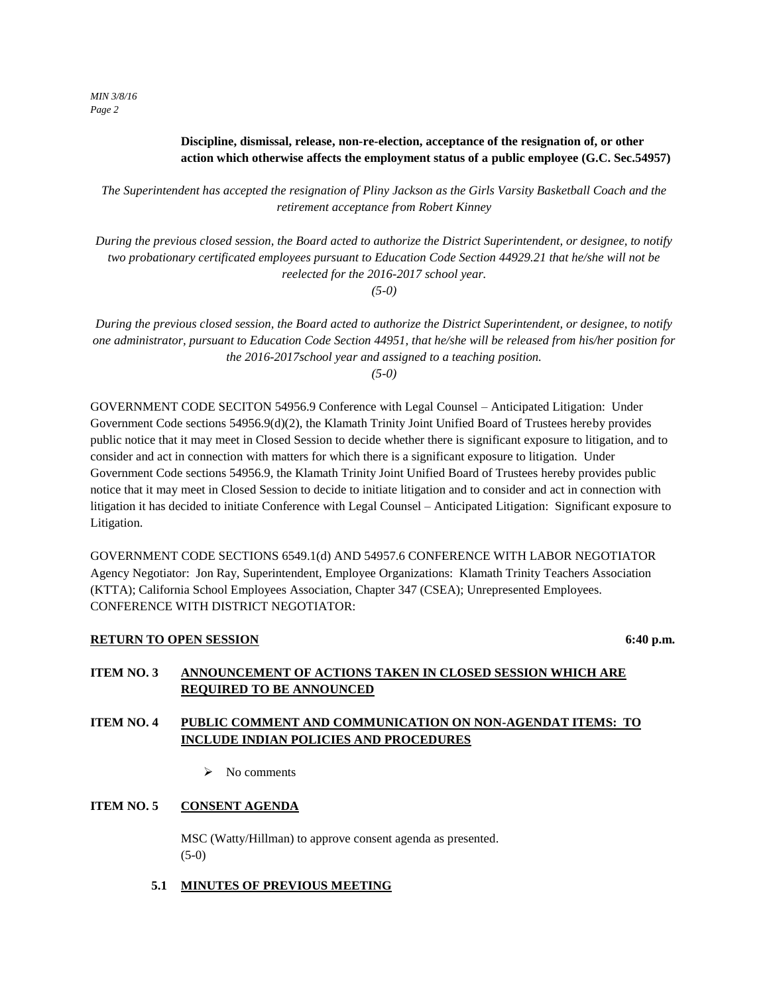*MIN 3/8/16 Page 2*

### **Discipline, dismissal, release, non-re-election, acceptance of the resignation of, or other action which otherwise affects the employment status of a public employee (G.C. Sec.54957)**

*The Superintendent has accepted the resignation of Pliny Jackson as the Girls Varsity Basketball Coach and the retirement acceptance from Robert Kinney*

*During the previous closed session, the Board acted to authorize the District Superintendent, or designee, to notify two probationary certificated employees pursuant to Education Code Section 44929.21 that he/she will not be reelected for the 2016-2017 school year.* 

*(5-0)*

*During the previous closed session, the Board acted to authorize the District Superintendent, or designee, to notify one administrator, pursuant to Education Code Section 44951, that he/she will be released from his/her position for the 2016-2017school year and assigned to a teaching position.*

*(5-0)*

GOVERNMENT CODE SECITON 54956.9 Conference with Legal Counsel – Anticipated Litigation: Under Government Code sections 54956.9(d)(2), the Klamath Trinity Joint Unified Board of Trustees hereby provides public notice that it may meet in Closed Session to decide whether there is significant exposure to litigation, and to consider and act in connection with matters for which there is a significant exposure to litigation. Under Government Code sections 54956.9, the Klamath Trinity Joint Unified Board of Trustees hereby provides public notice that it may meet in Closed Session to decide to initiate litigation and to consider and act in connection with litigation it has decided to initiate Conference with Legal Counsel – Anticipated Litigation: Significant exposure to Litigation.

GOVERNMENT CODE SECTIONS 6549.1(d) AND 54957.6 CONFERENCE WITH LABOR NEGOTIATOR Agency Negotiator: Jon Ray, Superintendent, Employee Organizations: Klamath Trinity Teachers Association (KTTA); California School Employees Association, Chapter 347 (CSEA); Unrepresented Employees. CONFERENCE WITH DISTRICT NEGOTIATOR:

### **RETURN TO OPEN SESSION** 6:40 p.m.

### **ITEM NO. 3 ANNOUNCEMENT OF ACTIONS TAKEN IN CLOSED SESSION WHICH ARE REQUIRED TO BE ANNOUNCED**

### **ITEM NO. 4 PUBLIC COMMENT AND COMMUNICATION ON NON-AGENDAT ITEMS: TO INCLUDE INDIAN POLICIES AND PROCEDURES**

 $\triangleright$  No comments

### **ITEM NO. 5 CONSENT AGENDA**

MSC (Watty/Hillman) to approve consent agenda as presented. (5-0)

 **5.1 MINUTES OF PREVIOUS MEETING**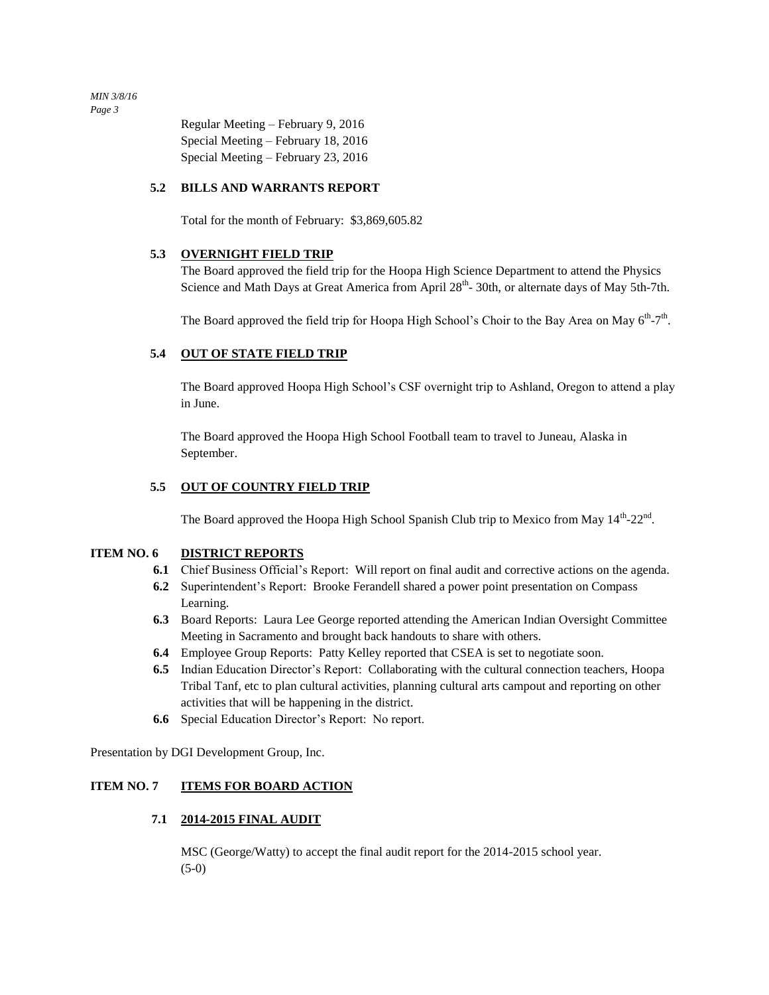*MIN 3/8/16 Page 3*

> Regular Meeting – February 9, 2016 Special Meeting – February 18, 2016 Special Meeting – February 23, 2016

#### **5.2 BILLS AND WARRANTS REPORT**

Total for the month of February: \$3,869,605.82

#### **5.3 OVERNIGHT FIELD TRIP**

The Board approved the field trip for the Hoopa High Science Department to attend the Physics Science and Math Days at Great America from April 28<sup>th</sup>-30th, or alternate days of May 5th-7th.

The Board approved the field trip for Hoopa High School's Choir to the Bay Area on May  $6<sup>th</sup> - 7<sup>th</sup>$ .

### **5.4 OUT OF STATE FIELD TRIP**

The Board approved Hoopa High School's CSF overnight trip to Ashland, Oregon to attend a play in June.

The Board approved the Hoopa High School Football team to travel to Juneau, Alaska in September.

### **5.5 OUT OF COUNTRY FIELD TRIP**

The Board approved the Hoopa High School Spanish Club trip to Mexico from May  $14<sup>th</sup>$ -22<sup>nd</sup>.

### **ITEM NO. 6 DISTRICT REPORTS**

- **6.1** Chief Business Official's Report: Will report on final audit and corrective actions on the agenda.
- **6.2** Superintendent's Report: Brooke Ferandell shared a power point presentation on Compass Learning.
- **6.3** Board Reports: Laura Lee George reported attending the American Indian Oversight Committee Meeting in Sacramento and brought back handouts to share with others.
- **6.4** Employee Group Reports: Patty Kelley reported that CSEA is set to negotiate soon.
- **6.5** Indian Education Director's Report: Collaborating with the cultural connection teachers, Hoopa Tribal Tanf, etc to plan cultural activities, planning cultural arts campout and reporting on other activities that will be happening in the district.
- **6.6** Special Education Director's Report: No report.

Presentation by DGI Development Group, Inc.

### **ITEM NO. 7 ITEMS FOR BOARD ACTION**

### **7.1 2014-2015 FINAL AUDIT**

MSC (George/Watty) to accept the final audit report for the 2014-2015 school year. (5-0)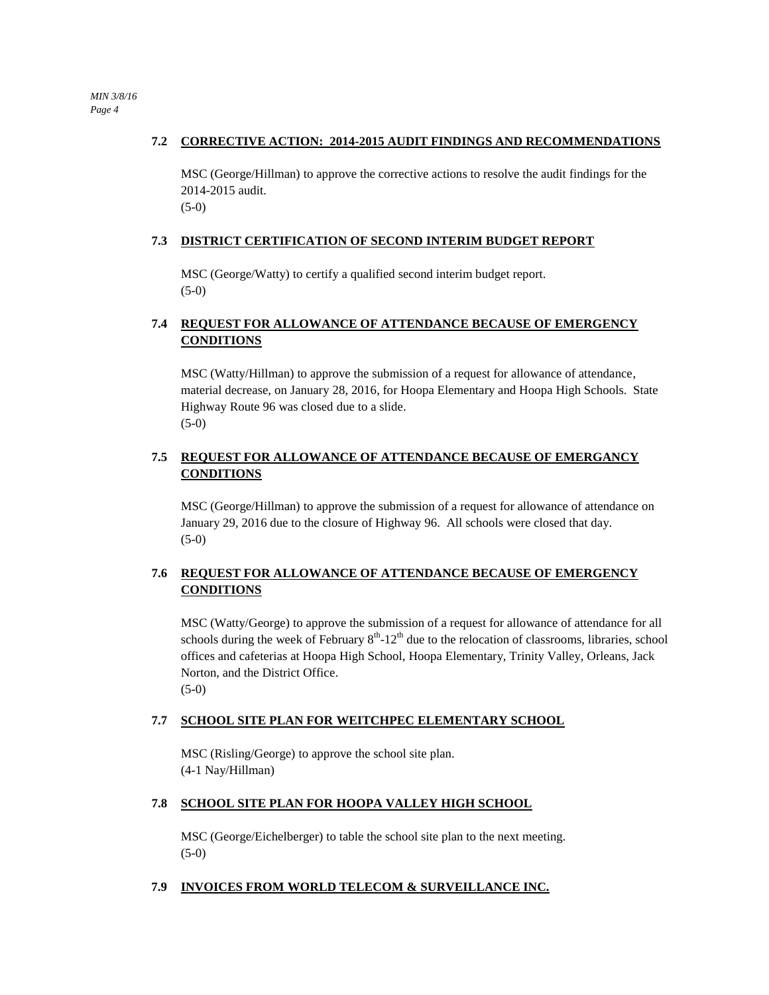#### **7.2 CORRECTIVE ACTION: 2014-2015 AUDIT FINDINGS AND RECOMMENDATIONS**

MSC (George/Hillman) to approve the corrective actions to resolve the audit findings for the 2014-2015 audit. (5-0)

#### **7.3 DISTRICT CERTIFICATION OF SECOND INTERIM BUDGET REPORT**

MSC (George/Watty) to certify a qualified second interim budget report. (5-0)

### **7.4 REQUEST FOR ALLOWANCE OF ATTENDANCE BECAUSE OF EMERGENCY CONDITIONS**

MSC (Watty/Hillman) to approve the submission of a request for allowance of attendance, material decrease, on January 28, 2016, for Hoopa Elementary and Hoopa High Schools. State Highway Route 96 was closed due to a slide. (5-0)

### **7.5 REQUEST FOR ALLOWANCE OF ATTENDANCE BECAUSE OF EMERGANCY CONDITIONS**

MSC (George/Hillman) to approve the submission of a request for allowance of attendance on January 29, 2016 due to the closure of Highway 96. All schools were closed that day. (5-0)

### **7.6 REQUEST FOR ALLOWANCE OF ATTENDANCE BECAUSE OF EMERGENCY CONDITIONS**

MSC (Watty/George) to approve the submission of a request for allowance of attendance for all schools during the week of February  $8<sup>th</sup> - 12<sup>th</sup>$  due to the relocation of classrooms, libraries, school offices and cafeterias at Hoopa High School, Hoopa Elementary, Trinity Valley, Orleans, Jack Norton, and the District Office. (5-0)

#### **7.7 SCHOOL SITE PLAN FOR WEITCHPEC ELEMENTARY SCHOOL**

MSC (Risling/George) to approve the school site plan. (4-1 Nay/Hillman)

### **7.8 SCHOOL SITE PLAN FOR HOOPA VALLEY HIGH SCHOOL**

MSC (George/Eichelberger) to table the school site plan to the next meeting. (5-0)

### **7.9 INVOICES FROM WORLD TELECOM & SURVEILLANCE INC.**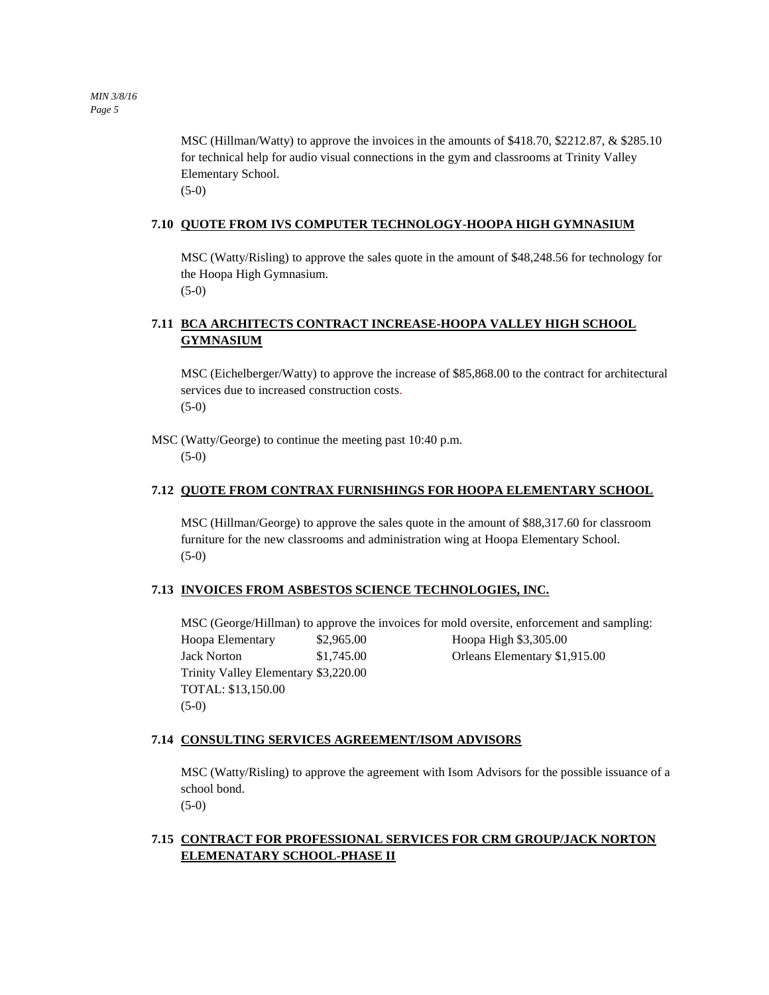MSC (Hillman/Watty) to approve the invoices in the amounts of \$418.70, \$2212.87, & \$285.10 for technical help for audio visual connections in the gym and classrooms at Trinity Valley Elementary School. (5-0)

#### **7.10 QUOTE FROM IVS COMPUTER TECHNOLOGY-HOOPA HIGH GYMNASIUM**

MSC (Watty/Risling) to approve the sales quote in the amount of \$48,248.56 for technology for the Hoopa High Gymnasium. (5-0)

### **7.11 BCA ARCHITECTS CONTRACT INCREASE-HOOPA VALLEY HIGH SCHOOL GYMNASIUM**

MSC (Eichelberger/Watty) to approve the increase of \$85,868.00 to the contract for architectural services due to increased construction costs. (5-0)

MSC (Watty/George) to continue the meeting past 10:40 p.m.

(5-0)

#### **7.12 QUOTE FROM CONTRAX FURNISHINGS FOR HOOPA ELEMENTARY SCHOOL**

MSC (Hillman/George) to approve the sales quote in the amount of \$88,317.60 for classroom furniture for the new classrooms and administration wing at Hoopa Elementary School. (5-0)

#### **7.13 INVOICES FROM ASBESTOS SCIENCE TECHNOLOGIES, INC.**

MSC (George/Hillman) to approve the invoices for mold oversite, enforcement and sampling: Hoopa Elementary \$2,965.00 Hoopa High \$3,305.00 Jack Norton \$1,745.00 Orleans Elementary \$1,915.00 Trinity Valley Elementary \$3,220.00 TOTAL: \$13,150.00 (5-0)

#### **7.14 CONSULTING SERVICES AGREEMENT/ISOM ADVISORS**

MSC (Watty/Risling) to approve the agreement with Isom Advisors for the possible issuance of a school bond. (5-0)

### **7.15 CONTRACT FOR PROFESSIONAL SERVICES FOR CRM GROUP/JACK NORTON ELEMENATARY SCHOOL-PHASE II**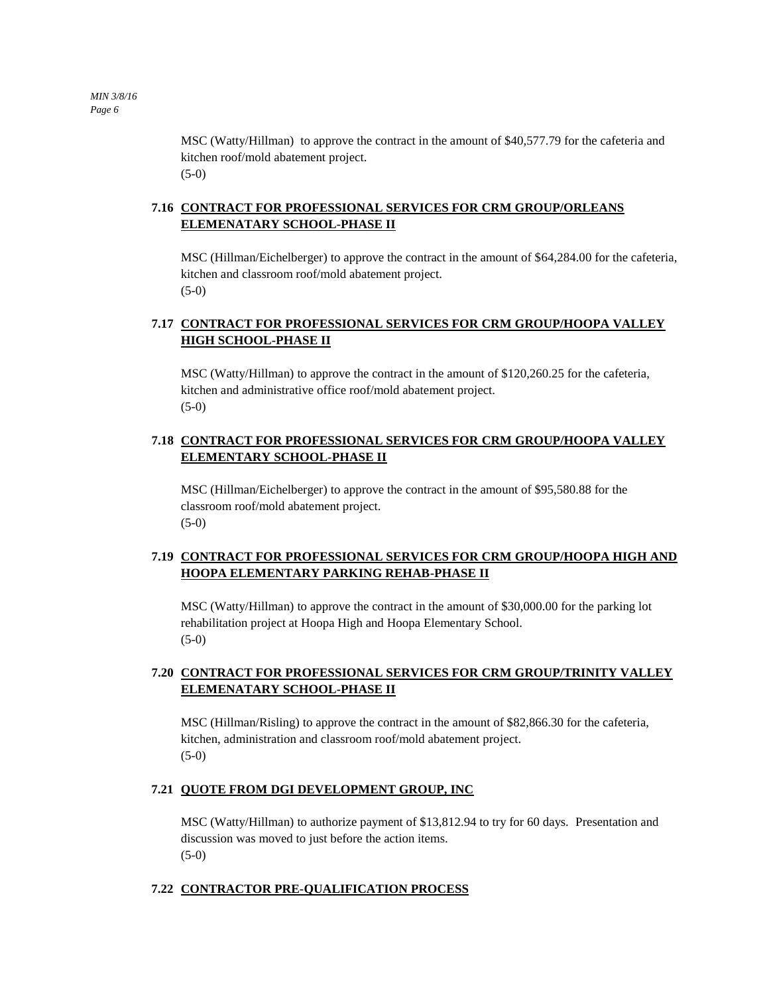MSC (Watty/Hillman) to approve the contract in the amount of \$40,577.79 for the cafeteria and kitchen roof/mold abatement project. (5-0)

### **7.16 CONTRACT FOR PROFESSIONAL SERVICES FOR CRM GROUP/ORLEANS ELEMENATARY SCHOOL-PHASE II**

MSC (Hillman/Eichelberger) to approve the contract in the amount of \$64,284.00 for the cafeteria, kitchen and classroom roof/mold abatement project. (5-0)

### **7.17 CONTRACT FOR PROFESSIONAL SERVICES FOR CRM GROUP/HOOPA VALLEY HIGH SCHOOL-PHASE II**

MSC (Watty/Hillman) to approve the contract in the amount of \$120,260.25 for the cafeteria, kitchen and administrative office roof/mold abatement project. (5-0)

### **7.18 CONTRACT FOR PROFESSIONAL SERVICES FOR CRM GROUP/HOOPA VALLEY ELEMENTARY SCHOOL-PHASE II**

MSC (Hillman/Eichelberger) to approve the contract in the amount of \$95,580.88 for the classroom roof/mold abatement project. (5-0)

### **7.19 CONTRACT FOR PROFESSIONAL SERVICES FOR CRM GROUP/HOOPA HIGH AND HOOPA ELEMENTARY PARKING REHAB-PHASE II**

MSC (Watty/Hillman) to approve the contract in the amount of \$30,000.00 for the parking lot rehabilitation project at Hoopa High and Hoopa Elementary School.  $(5-0)$ 

### **7.20 CONTRACT FOR PROFESSIONAL SERVICES FOR CRM GROUP/TRINITY VALLEY ELEMENATARY SCHOOL-PHASE II**

MSC (Hillman/Risling) to approve the contract in the amount of \$82,866.30 for the cafeteria, kitchen, administration and classroom roof/mold abatement project. (5-0)

### **7.21 QUOTE FROM DGI DEVELOPMENT GROUP, INC**

MSC (Watty/Hillman) to authorize payment of \$13,812.94 to try for 60 days. Presentation and discussion was moved to just before the action items. (5-0)

### **7.22 CONTRACTOR PRE-QUALIFICATION PROCESS**